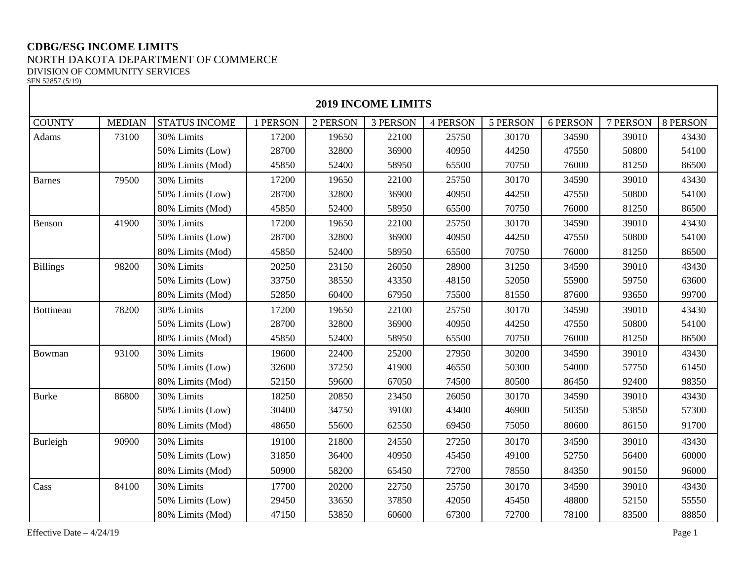## **CDBG/ESG INCOME LIMITS** NORTH DAKOTA DEPARTMENT OF COMMERCE DIVISION OF COMMUNITY SERVICES

SFN 52857 (5/19)

| <b>2019 INCOME LIMITS</b> |               |                      |          |          |                 |                 |          |          |          |          |  |
|---------------------------|---------------|----------------------|----------|----------|-----------------|-----------------|----------|----------|----------|----------|--|
| <b>COUNTY</b>             | <b>MEDIAN</b> | <b>STATUS INCOME</b> | 1 PERSON | 2 PERSON | <b>3 PERSON</b> | <b>4 PERSON</b> | 5 PERSON | 6 PERSON | 7 PERSON | 8 PERSON |  |
| Adams                     | 73100         | 30% Limits           | 17200    | 19650    | 22100           | 25750           | 30170    | 34590    | 39010    | 43430    |  |
|                           |               | 50% Limits (Low)     | 28700    | 32800    | 36900           | 40950           | 44250    | 47550    | 50800    | 54100    |  |
|                           |               | 80% Limits (Mod)     | 45850    | 52400    | 58950           | 65500           | 70750    | 76000    | 81250    | 86500    |  |
| <b>Barnes</b>             | 79500         | 30% Limits           | 17200    | 19650    | 22100           | 25750           | 30170    | 34590    | 39010    | 43430    |  |
|                           |               | 50% Limits (Low)     | 28700    | 32800    | 36900           | 40950           | 44250    | 47550    | 50800    | 54100    |  |
|                           |               | 80% Limits (Mod)     | 45850    | 52400    | 58950           | 65500           | 70750    | 76000    | 81250    | 86500    |  |
| Benson                    | 41900         | 30% Limits           | 17200    | 19650    | 22100           | 25750           | 30170    | 34590    | 39010    | 43430    |  |
|                           |               | 50% Limits (Low)     | 28700    | 32800    | 36900           | 40950           | 44250    | 47550    | 50800    | 54100    |  |
|                           |               | 80% Limits (Mod)     | 45850    | 52400    | 58950           | 65500           | 70750    | 76000    | 81250    | 86500    |  |
| <b>Billings</b>           | 98200         | 30% Limits           | 20250    | 23150    | 26050           | 28900           | 31250    | 34590    | 39010    | 43430    |  |
|                           |               | 50% Limits (Low)     | 33750    | 38550    | 43350           | 48150           | 52050    | 55900    | 59750    | 63600    |  |
|                           |               | 80% Limits (Mod)     | 52850    | 60400    | 67950           | 75500           | 81550    | 87600    | 93650    | 99700    |  |
| <b>Bottineau</b>          | 78200         | 30% Limits           | 17200    | 19650    | 22100           | 25750           | 30170    | 34590    | 39010    | 43430    |  |
|                           |               | 50% Limits (Low)     | 28700    | 32800    | 36900           | 40950           | 44250    | 47550    | 50800    | 54100    |  |
|                           |               | 80% Limits (Mod)     | 45850    | 52400    | 58950           | 65500           | 70750    | 76000    | 81250    | 86500    |  |
| Bowman                    | 93100         | 30% Limits           | 19600    | 22400    | 25200           | 27950           | 30200    | 34590    | 39010    | 43430    |  |
|                           |               | 50% Limits (Low)     | 32600    | 37250    | 41900           | 46550           | 50300    | 54000    | 57750    | 61450    |  |
|                           |               | 80% Limits (Mod)     | 52150    | 59600    | 67050           | 74500           | 80500    | 86450    | 92400    | 98350    |  |
| <b>Burke</b>              | 86800         | 30% Limits           | 18250    | 20850    | 23450           | 26050           | 30170    | 34590    | 39010    | 43430    |  |
|                           |               | 50% Limits (Low)     | 30400    | 34750    | 39100           | 43400           | 46900    | 50350    | 53850    | 57300    |  |
|                           |               | 80% Limits (Mod)     | 48650    | 55600    | 62550           | 69450           | 75050    | 80600    | 86150    | 91700    |  |
| Burleigh                  | 90900         | 30% Limits           | 19100    | 21800    | 24550           | 27250           | 30170    | 34590    | 39010    | 43430    |  |
|                           |               | 50% Limits (Low)     | 31850    | 36400    | 40950           | 45450           | 49100    | 52750    | 56400    | 60000    |  |
|                           |               | 80% Limits (Mod)     | 50900    | 58200    | 65450           | 72700           | 78550    | 84350    | 90150    | 96000    |  |
| Cass                      | 84100         | 30% Limits           | 17700    | 20200    | 22750           | 25750           | 30170    | 34590    | 39010    | 43430    |  |
|                           |               | 50% Limits (Low)     | 29450    | 33650    | 37850           | 42050           | 45450    | 48800    | 52150    | 55550    |  |
|                           |               | 80% Limits (Mod)     | 47150    | 53850    | 60600           | 67300           | 72700    | 78100    | 83500    | 88850    |  |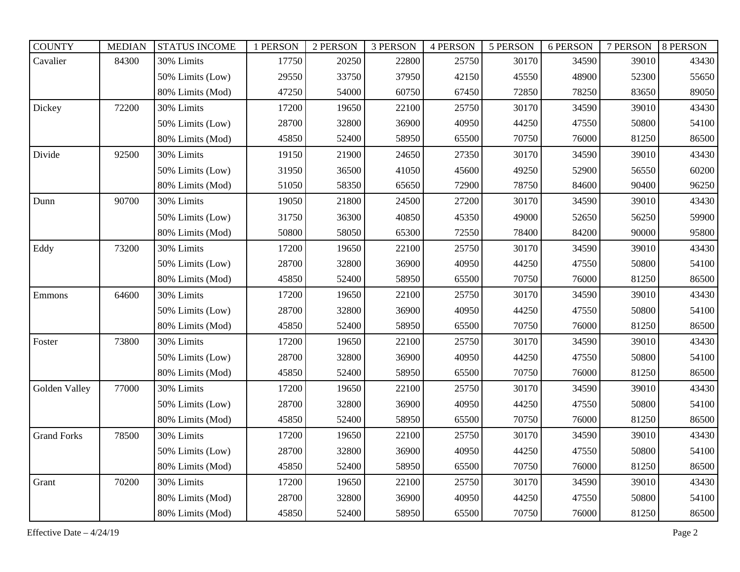| <b>COUNTY</b>      | <b>MEDIAN</b> | <b>STATUS INCOME</b> | 1 PERSON | 2 PERSON | 3 PERSON | <b>4 PERSON</b> | 5 PERSON | 6 PERSON | 7 PERSON | <b>8 PERSON</b> |
|--------------------|---------------|----------------------|----------|----------|----------|-----------------|----------|----------|----------|-----------------|
| Cavalier           | 84300         | 30% Limits           | 17750    | 20250    | 22800    | 25750           | 30170    | 34590    | 39010    | 43430           |
|                    |               | 50% Limits (Low)     | 29550    | 33750    | 37950    | 42150           | 45550    | 48900    | 52300    | 55650           |
|                    |               | 80% Limits (Mod)     | 47250    | 54000    | 60750    | 67450           | 72850    | 78250    | 83650    | 89050           |
| Dickey             | 72200         | 30% Limits           | 17200    | 19650    | 22100    | 25750           | 30170    | 34590    | 39010    | 43430           |
|                    |               | 50% Limits (Low)     | 28700    | 32800    | 36900    | 40950           | 44250    | 47550    | 50800    | 54100           |
|                    |               | 80% Limits (Mod)     | 45850    | 52400    | 58950    | 65500           | 70750    | 76000    | 81250    | 86500           |
| Divide             | 92500         | 30% Limits           | 19150    | 21900    | 24650    | 27350           | 30170    | 34590    | 39010    | 43430           |
|                    |               | 50% Limits (Low)     | 31950    | 36500    | 41050    | 45600           | 49250    | 52900    | 56550    | 60200           |
|                    |               | 80% Limits (Mod)     | 51050    | 58350    | 65650    | 72900           | 78750    | 84600    | 90400    | 96250           |
| Dunn               | 90700         | 30% Limits           | 19050    | 21800    | 24500    | 27200           | 30170    | 34590    | 39010    | 43430           |
|                    |               | 50% Limits (Low)     | 31750    | 36300    | 40850    | 45350           | 49000    | 52650    | 56250    | 59900           |
|                    |               | 80% Limits (Mod)     | 50800    | 58050    | 65300    | 72550           | 78400    | 84200    | 90000    | 95800           |
| Eddy               | 73200         | 30% Limits           | 17200    | 19650    | 22100    | 25750           | 30170    | 34590    | 39010    | 43430           |
|                    |               | 50% Limits (Low)     | 28700    | 32800    | 36900    | 40950           | 44250    | 47550    | 50800    | 54100           |
|                    |               | 80% Limits (Mod)     | 45850    | 52400    | 58950    | 65500           | 70750    | 76000    | 81250    | 86500           |
| Emmons             | 64600         | 30% Limits           | 17200    | 19650    | 22100    | 25750           | 30170    | 34590    | 39010    | 43430           |
|                    |               | 50% Limits (Low)     | 28700    | 32800    | 36900    | 40950           | 44250    | 47550    | 50800    | 54100           |
|                    |               | 80% Limits (Mod)     | 45850    | 52400    | 58950    | 65500           | 70750    | 76000    | 81250    | 86500           |
| Foster             | 73800         | 30% Limits           | 17200    | 19650    | 22100    | 25750           | 30170    | 34590    | 39010    | 43430           |
|                    |               | 50% Limits (Low)     | 28700    | 32800    | 36900    | 40950           | 44250    | 47550    | 50800    | 54100           |
|                    |               | 80% Limits (Mod)     | 45850    | 52400    | 58950    | 65500           | 70750    | 76000    | 81250    | 86500           |
| Golden Valley      | 77000         | 30% Limits           | 17200    | 19650    | 22100    | 25750           | 30170    | 34590    | 39010    | 43430           |
|                    |               | 50% Limits (Low)     | 28700    | 32800    | 36900    | 40950           | 44250    | 47550    | 50800    | 54100           |
|                    |               | 80% Limits (Mod)     | 45850    | 52400    | 58950    | 65500           | 70750    | 76000    | 81250    | 86500           |
| <b>Grand Forks</b> | 78500         | 30% Limits           | 17200    | 19650    | 22100    | 25750           | 30170    | 34590    | 39010    | 43430           |
|                    |               | 50% Limits (Low)     | 28700    | 32800    | 36900    | 40950           | 44250    | 47550    | 50800    | 54100           |
|                    |               | 80% Limits (Mod)     | 45850    | 52400    | 58950    | 65500           | 70750    | 76000    | 81250    | 86500           |
| Grant              | 70200         | 30% Limits           | 17200    | 19650    | 22100    | 25750           | 30170    | 34590    | 39010    | 43430           |
|                    |               | 80% Limits (Mod)     | 28700    | 32800    | 36900    | 40950           | 44250    | 47550    | 50800    | 54100           |
|                    |               | 80% Limits (Mod)     | 45850    | 52400    | 58950    | 65500           | 70750    | 76000    | 81250    | 86500           |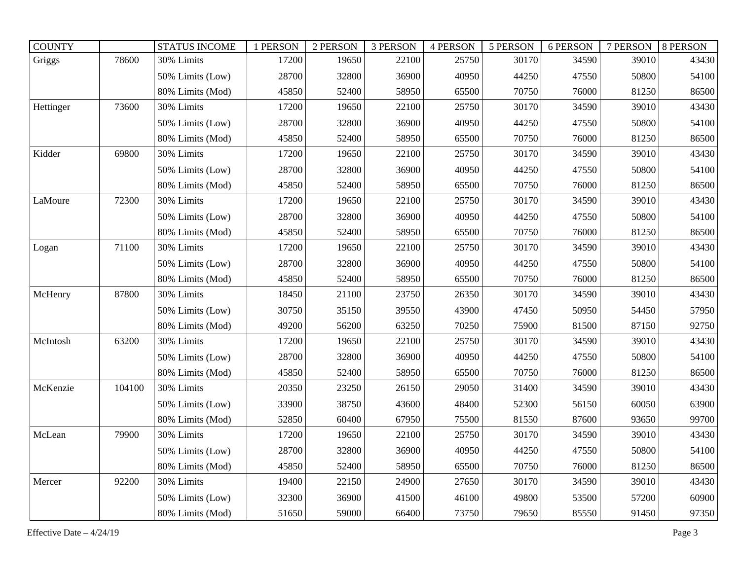| <b>COUNTY</b> |        | <b>STATUS INCOME</b> | 1 PERSON | 2 PERSON | 3 PERSON | <b>4 PERSON</b> | 5 PERSON | 6 PERSON | 7 PERSON | 8 PERSON |
|---------------|--------|----------------------|----------|----------|----------|-----------------|----------|----------|----------|----------|
| Griggs        | 78600  | 30% Limits           | 17200    | 19650    | 22100    | 25750           | 30170    | 34590    | 39010    | 43430    |
|               |        | 50% Limits (Low)     | 28700    | 32800    | 36900    | 40950           | 44250    | 47550    | 50800    | 54100    |
|               |        | 80% Limits (Mod)     | 45850    | 52400    | 58950    | 65500           | 70750    | 76000    | 81250    | 86500    |
| Hettinger     | 73600  | 30% Limits           | 17200    | 19650    | 22100    | 25750           | 30170    | 34590    | 39010    | 43430    |
|               |        | 50% Limits (Low)     | 28700    | 32800    | 36900    | 40950           | 44250    | 47550    | 50800    | 54100    |
|               |        | 80% Limits (Mod)     | 45850    | 52400    | 58950    | 65500           | 70750    | 76000    | 81250    | 86500    |
| Kidder        | 69800  | 30% Limits           | 17200    | 19650    | 22100    | 25750           | 30170    | 34590    | 39010    | 43430    |
|               |        | 50% Limits (Low)     | 28700    | 32800    | 36900    | 40950           | 44250    | 47550    | 50800    | 54100    |
|               |        | 80% Limits (Mod)     | 45850    | 52400    | 58950    | 65500           | 70750    | 76000    | 81250    | 86500    |
| LaMoure       | 72300  | 30% Limits           | 17200    | 19650    | 22100    | 25750           | 30170    | 34590    | 39010    | 43430    |
|               |        | 50% Limits (Low)     | 28700    | 32800    | 36900    | 40950           | 44250    | 47550    | 50800    | 54100    |
|               |        | 80% Limits (Mod)     | 45850    | 52400    | 58950    | 65500           | 70750    | 76000    | 81250    | 86500    |
| Logan         | 71100  | 30% Limits           | 17200    | 19650    | 22100    | 25750           | 30170    | 34590    | 39010    | 43430    |
|               |        | 50% Limits (Low)     | 28700    | 32800    | 36900    | 40950           | 44250    | 47550    | 50800    | 54100    |
|               |        | 80% Limits (Mod)     | 45850    | 52400    | 58950    | 65500           | 70750    | 76000    | 81250    | 86500    |
| McHenry       | 87800  | 30% Limits           | 18450    | 21100    | 23750    | 26350           | 30170    | 34590    | 39010    | 43430    |
|               |        | 50% Limits (Low)     | 30750    | 35150    | 39550    | 43900           | 47450    | 50950    | 54450    | 57950    |
|               |        | 80% Limits (Mod)     | 49200    | 56200    | 63250    | 70250           | 75900    | 81500    | 87150    | 92750    |
| McIntosh      | 63200  | 30% Limits           | 17200    | 19650    | 22100    | 25750           | 30170    | 34590    | 39010    | 43430    |
|               |        | 50% Limits (Low)     | 28700    | 32800    | 36900    | 40950           | 44250    | 47550    | 50800    | 54100    |
|               |        | 80% Limits (Mod)     | 45850    | 52400    | 58950    | 65500           | 70750    | 76000    | 81250    | 86500    |
| McKenzie      | 104100 | 30% Limits           | 20350    | 23250    | 26150    | 29050           | 31400    | 34590    | 39010    | 43430    |
|               |        | 50% Limits (Low)     | 33900    | 38750    | 43600    | 48400           | 52300    | 56150    | 60050    | 63900    |
|               |        | 80% Limits (Mod)     | 52850    | 60400    | 67950    | 75500           | 81550    | 87600    | 93650    | 99700    |
| McLean        | 79900  | 30% Limits           | 17200    | 19650    | 22100    | 25750           | 30170    | 34590    | 39010    | 43430    |
|               |        | 50% Limits (Low)     | 28700    | 32800    | 36900    | 40950           | 44250    | 47550    | 50800    | 54100    |
|               |        | 80% Limits (Mod)     | 45850    | 52400    | 58950    | 65500           | 70750    | 76000    | 81250    | 86500    |
| Mercer        | 92200  | 30% Limits           | 19400    | 22150    | 24900    | 27650           | 30170    | 34590    | 39010    | 43430    |
|               |        | 50% Limits (Low)     | 32300    | 36900    | 41500    | 46100           | 49800    | 53500    | 57200    | 60900    |
|               |        | 80% Limits (Mod)     | 51650    | 59000    | 66400    | 73750           | 79650    | 85550    | 91450    | 97350    |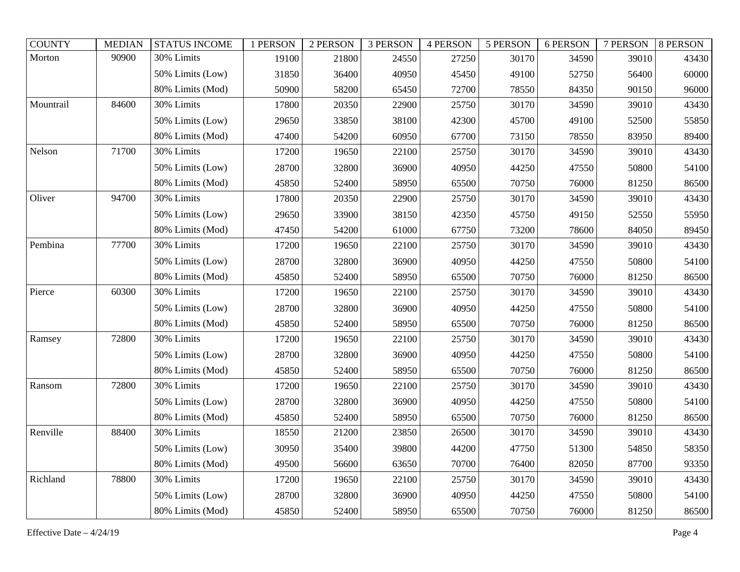| <b>COUNTY</b> | <b>MEDIAN</b> | <b>STATUS INCOME</b> | 1 PERSON | 2 PERSON | 3 PERSON | <b>4 PERSON</b> | 5 PERSON | 6 PERSON | 7 PERSON | 8 PERSON |
|---------------|---------------|----------------------|----------|----------|----------|-----------------|----------|----------|----------|----------|
| Morton        | 90900         | 30% Limits           | 19100    | 21800    | 24550    | 27250           | 30170    | 34590    | 39010    | 43430    |
|               |               | 50% Limits (Low)     | 31850    | 36400    | 40950    | 45450           | 49100    | 52750    | 56400    | 60000    |
|               |               | 80% Limits (Mod)     | 50900    | 58200    | 65450    | 72700           | 78550    | 84350    | 90150    | 96000    |
| Mountrail     | 84600         | 30% Limits           | 17800    | 20350    | 22900    | 25750           | 30170    | 34590    | 39010    | 43430    |
|               |               | 50% Limits (Low)     | 29650    | 33850    | 38100    | 42300           | 45700    | 49100    | 52500    | 55850    |
|               |               | 80% Limits (Mod)     | 47400    | 54200    | 60950    | 67700           | 73150    | 78550    | 83950    | 89400    |
| Nelson        | 71700         | 30% Limits           | 17200    | 19650    | 22100    | 25750           | 30170    | 34590    | 39010    | 43430    |
|               |               | 50% Limits (Low)     | 28700    | 32800    | 36900    | 40950           | 44250    | 47550    | 50800    | 54100    |
|               |               | 80% Limits (Mod)     | 45850    | 52400    | 58950    | 65500           | 70750    | 76000    | 81250    | 86500    |
| Oliver        | 94700         | 30% Limits           | 17800    | 20350    | 22900    | 25750           | 30170    | 34590    | 39010    | 43430    |
|               |               | 50% Limits (Low)     | 29650    | 33900    | 38150    | 42350           | 45750    | 49150    | 52550    | 55950    |
|               |               | 80% Limits (Mod)     | 47450    | 54200    | 61000    | 67750           | 73200    | 78600    | 84050    | 89450    |
| Pembina       | 77700         | 30% Limits           | 17200    | 19650    | 22100    | 25750           | 30170    | 34590    | 39010    | 43430    |
|               |               | 50% Limits (Low)     | 28700    | 32800    | 36900    | 40950           | 44250    | 47550    | 50800    | 54100    |
|               |               | 80% Limits (Mod)     | 45850    | 52400    | 58950    | 65500           | 70750    | 76000    | 81250    | 86500    |
| Pierce        | 60300         | 30% Limits           | 17200    | 19650    | 22100    | 25750           | 30170    | 34590    | 39010    | 43430    |
|               |               | 50% Limits (Low)     | 28700    | 32800    | 36900    | 40950           | 44250    | 47550    | 50800    | 54100    |
|               |               | 80% Limits (Mod)     | 45850    | 52400    | 58950    | 65500           | 70750    | 76000    | 81250    | 86500    |
| Ramsey        | 72800         | 30% Limits           | 17200    | 19650    | 22100    | 25750           | 30170    | 34590    | 39010    | 43430    |
|               |               | 50% Limits (Low)     | 28700    | 32800    | 36900    | 40950           | 44250    | 47550    | 50800    | 54100    |
|               |               | 80% Limits (Mod)     | 45850    | 52400    | 58950    | 65500           | 70750    | 76000    | 81250    | 86500    |
| Ransom        | 72800         | 30% Limits           | 17200    | 19650    | 22100    | 25750           | 30170    | 34590    | 39010    | 43430    |
|               |               | 50% Limits (Low)     | 28700    | 32800    | 36900    | 40950           | 44250    | 47550    | 50800    | 54100    |
|               |               | 80% Limits (Mod)     | 45850    | 52400    | 58950    | 65500           | 70750    | 76000    | 81250    | 86500    |
| Renville      | 88400         | 30% Limits           | 18550    | 21200    | 23850    | 26500           | 30170    | 34590    | 39010    | 43430    |
|               |               | 50% Limits (Low)     | 30950    | 35400    | 39800    | 44200           | 47750    | 51300    | 54850    | 58350    |
|               |               | 80% Limits (Mod)     | 49500    | 56600    | 63650    | 70700           | 76400    | 82050    | 87700    | 93350    |
| Richland      | 78800         | 30% Limits           | 17200    | 19650    | 22100    | 25750           | 30170    | 34590    | 39010    | 43430    |
|               |               | 50% Limits (Low)     | 28700    | 32800    | 36900    | 40950           | 44250    | 47550    | 50800    | 54100    |
|               |               | 80% Limits (Mod)     | 45850    | 52400    | 58950    | 65500           | 70750    | 76000    | 81250    | 86500    |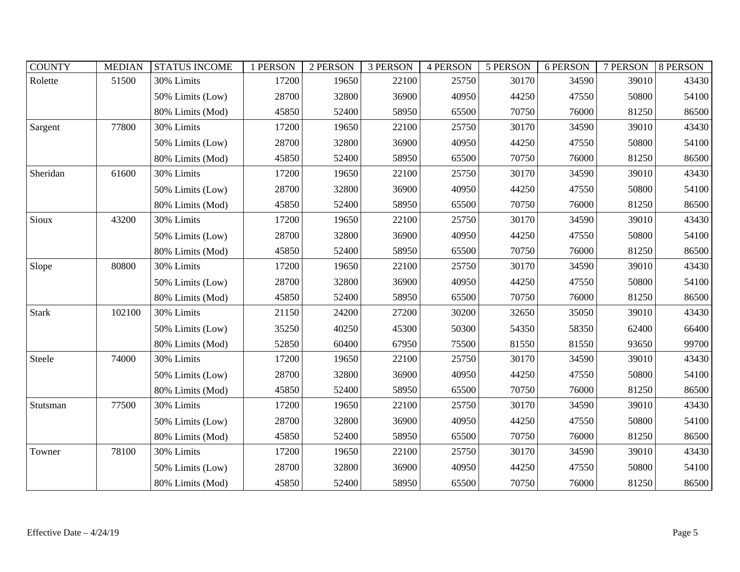| <b>COUNTY</b> | <b>MEDIAN</b> | <b>STATUS INCOME</b> | 1 PERSON | 2 PERSON | <b>3 PERSON</b> | <b>4 PERSON</b> | 5 PERSON | 6 PERSON | 7 PERSON | 8 PERSON |
|---------------|---------------|----------------------|----------|----------|-----------------|-----------------|----------|----------|----------|----------|
| Rolette       | 51500         | 30% Limits           | 17200    | 19650    | 22100           | 25750           | 30170    | 34590    | 39010    | 43430    |
|               |               | 50% Limits (Low)     | 28700    | 32800    | 36900           | 40950           | 44250    | 47550    | 50800    | 54100    |
|               |               | 80% Limits (Mod)     | 45850    | 52400    | 58950           | 65500           | 70750    | 76000    | 81250    | 86500    |
| Sargent       | 77800         | 30% Limits           | 17200    | 19650    | 22100           | 25750           | 30170    | 34590    | 39010    | 43430    |
|               |               | 50% Limits (Low)     | 28700    | 32800    | 36900           | 40950           | 44250    | 47550    | 50800    | 54100    |
|               |               | 80% Limits (Mod)     | 45850    | 52400    | 58950           | 65500           | 70750    | 76000    | 81250    | 86500    |
| Sheridan      | 61600         | 30% Limits           | 17200    | 19650    | 22100           | 25750           | 30170    | 34590    | 39010    | 43430    |
|               |               | 50% Limits (Low)     | 28700    | 32800    | 36900           | 40950           | 44250    | 47550    | 50800    | 54100    |
|               |               | 80% Limits (Mod)     | 45850    | 52400    | 58950           | 65500           | 70750    | 76000    | 81250    | 86500    |
| Sioux         | 43200         | 30% Limits           | 17200    | 19650    | 22100           | 25750           | 30170    | 34590    | 39010    | 43430    |
|               |               | 50% Limits (Low)     | 28700    | 32800    | 36900           | 40950           | 44250    | 47550    | 50800    | 54100    |
|               |               | 80% Limits (Mod)     | 45850    | 52400    | 58950           | 65500           | 70750    | 76000    | 81250    | 86500    |
| Slope         | 80800         | 30% Limits           | 17200    | 19650    | 22100           | 25750           | 30170    | 34590    | 39010    | 43430    |
|               |               | 50% Limits (Low)     | 28700    | 32800    | 36900           | 40950           | 44250    | 47550    | 50800    | 54100    |
|               |               | 80% Limits (Mod)     | 45850    | 52400    | 58950           | 65500           | 70750    | 76000    | 81250    | 86500    |
| <b>Stark</b>  | 102100        | 30% Limits           | 21150    | 24200    | 27200           | 30200           | 32650    | 35050    | 39010    | 43430    |
|               |               | 50% Limits (Low)     | 35250    | 40250    | 45300           | 50300           | 54350    | 58350    | 62400    | 66400    |
|               |               | 80% Limits (Mod)     | 52850    | 60400    | 67950           | 75500           | 81550    | 81550    | 93650    | 99700    |
| Steele        | 74000         | 30% Limits           | 17200    | 19650    | 22100           | 25750           | 30170    | 34590    | 39010    | 43430    |
|               |               | 50% Limits (Low)     | 28700    | 32800    | 36900           | 40950           | 44250    | 47550    | 50800    | 54100    |
|               |               | 80% Limits (Mod)     | 45850    | 52400    | 58950           | 65500           | 70750    | 76000    | 81250    | 86500    |
| Stutsman      | 77500         | 30% Limits           | 17200    | 19650    | 22100           | 25750           | 30170    | 34590    | 39010    | 43430    |
|               |               | 50% Limits (Low)     | 28700    | 32800    | 36900           | 40950           | 44250    | 47550    | 50800    | 54100    |
|               |               | 80% Limits (Mod)     | 45850    | 52400    | 58950           | 65500           | 70750    | 76000    | 81250    | 86500    |
| Towner        | 78100         | 30% Limits           | 17200    | 19650    | 22100           | 25750           | 30170    | 34590    | 39010    | 43430    |
|               |               | 50% Limits (Low)     | 28700    | 32800    | 36900           | 40950           | 44250    | 47550    | 50800    | 54100    |
|               |               | 80% Limits (Mod)     | 45850    | 52400    | 58950           | 65500           | 70750    | 76000    | 81250    | 86500    |